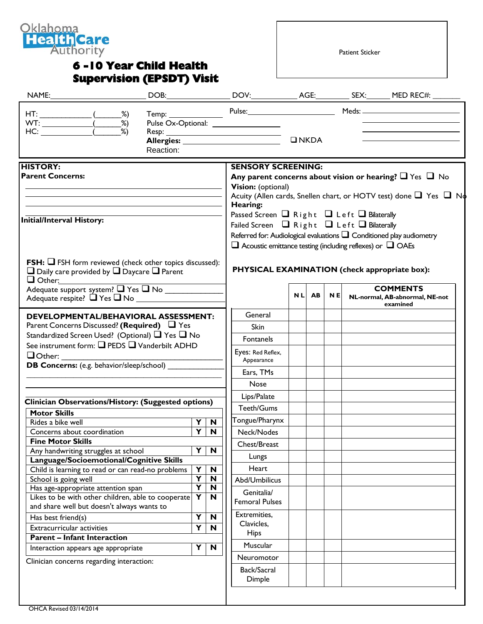

## **6 -10 Year Child Health Supervision (EPSDT) Visit**

Patient Sticker

| $HT:$ (2002)                                                                                                                                                                            |  |                                                  |                                                                                                                                                                                                                                                                                                                                                                                                                           |                                                                                                                              |               |           |           |  | Temp: Pulse: Pulse: Meds: Meds:                   |
|-----------------------------------------------------------------------------------------------------------------------------------------------------------------------------------------|--|--------------------------------------------------|---------------------------------------------------------------------------------------------------------------------------------------------------------------------------------------------------------------------------------------------------------------------------------------------------------------------------------------------------------------------------------------------------------------------------|------------------------------------------------------------------------------------------------------------------------------|---------------|-----------|-----------|--|---------------------------------------------------|
| WT: $\frac{\overline{\hspace{1cm}}}{\hspace{1cm} \text{H}{C:}}$ $\frac{\overline{\hspace{1cm}}}{\hspace{1cm} \text{M}}$                                                                 |  | Reaction:                                        |                                                                                                                                                                                                                                                                                                                                                                                                                           |                                                                                                                              | $\n  INKDA\n$ |           |           |  |                                                   |
| <b>HISTORY:</b><br><b>Parent Concerns:</b><br>Initial/Interval History:                                                                                                                 |  |                                                  | <b>SENSORY SCREENING:</b><br>Any parent concerns about vision or hearing? $\Box$ Yes $\Box$ No<br>Vision: (optional)<br>Acuity (Allen cards, Snellen chart, or HOTV test) done $\Box$ Yes $\Box$ No<br>Hearing:<br>Passed Screen $\Box$ Right $\Box$ Left $\Box$ Bilaterally<br>Failed Screen $\Box$ Right $\Box$ Left $\Box$ Bilaterally<br>Referred for: Audiological evaluations $\square$ Conditioned play audiometry |                                                                                                                              |               |           |           |  |                                                   |
| <b>FSH:</b> $\Box$ FSH form reviewed (check other topics discussed):<br>$\Box$ Daily care provided by $\Box$ Daycare $\Box$ Parent<br>$\Box$ Other:<br>Adequate support system? The Tho |  |                                                  |                                                                                                                                                                                                                                                                                                                                                                                                                           | $\square$ Acoustic emittance testing (including reflexes) or $\square$ OAEs<br>PHYSICAL EXAMINATION (check appropriate box): | <b>NL</b>     | <b>AB</b> | <b>NE</b> |  | <b>COMMENTS</b><br>NL-normal, AB-abnormal, NE-not |
| <b>DEVELOPMENTAL/BEHAVIORAL ASSESSMENT:</b>                                                                                                                                             |  |                                                  |                                                                                                                                                                                                                                                                                                                                                                                                                           | General                                                                                                                      |               |           |           |  | examined                                          |
| Parent Concerns Discussed? (Required) □ Yes                                                                                                                                             |  |                                                  |                                                                                                                                                                                                                                                                                                                                                                                                                           | Skin                                                                                                                         |               |           |           |  |                                                   |
| Standardized Screen Used? (Optional) □ Yes □ No                                                                                                                                         |  |                                                  |                                                                                                                                                                                                                                                                                                                                                                                                                           |                                                                                                                              |               |           |           |  |                                                   |
| See instrument form: Q PEDS Q Vanderbilt ADHD<br>$\Box$ Other:                                                                                                                          |  |                                                  | Fontanels                                                                                                                                                                                                                                                                                                                                                                                                                 |                                                                                                                              |               |           |           |  |                                                   |
|                                                                                                                                                                                         |  |                                                  | Eyes: Red Reflex,                                                                                                                                                                                                                                                                                                                                                                                                         |                                                                                                                              |               |           |           |  |                                                   |
|                                                                                                                                                                                         |  |                                                  |                                                                                                                                                                                                                                                                                                                                                                                                                           |                                                                                                                              |               |           |           |  |                                                   |
|                                                                                                                                                                                         |  | <b>DB Concerns:</b> (e.g. behavior/sleep/school) |                                                                                                                                                                                                                                                                                                                                                                                                                           | Appearance                                                                                                                   |               |           |           |  |                                                   |
|                                                                                                                                                                                         |  |                                                  |                                                                                                                                                                                                                                                                                                                                                                                                                           | Ears, TMs                                                                                                                    |               |           |           |  |                                                   |
|                                                                                                                                                                                         |  |                                                  |                                                                                                                                                                                                                                                                                                                                                                                                                           | Nose                                                                                                                         |               |           |           |  |                                                   |
|                                                                                                                                                                                         |  |                                                  |                                                                                                                                                                                                                                                                                                                                                                                                                           | Lips/Palate                                                                                                                  |               |           |           |  |                                                   |
| Clinician Observations/History: (Suggested options)                                                                                                                                     |  |                                                  |                                                                                                                                                                                                                                                                                                                                                                                                                           | Teeth/Gums                                                                                                                   |               |           |           |  |                                                   |
| <b>Motor Skills</b><br>Rides a bike well                                                                                                                                                |  |                                                  | Y<br>N                                                                                                                                                                                                                                                                                                                                                                                                                    | Tongue/Pharynx                                                                                                               |               |           |           |  |                                                   |
| Concerns about coordination                                                                                                                                                             |  |                                                  | $\overline{Y}$<br>$\overline{\mathbf{N}}$                                                                                                                                                                                                                                                                                                                                                                                 | Neck/Nodes                                                                                                                   |               |           |           |  |                                                   |
| <b>Fine Motor Skills</b>                                                                                                                                                                |  |                                                  |                                                                                                                                                                                                                                                                                                                                                                                                                           | Chest/Breast                                                                                                                 |               |           |           |  |                                                   |
| Any handwriting struggles at school                                                                                                                                                     |  |                                                  | Y<br>N                                                                                                                                                                                                                                                                                                                                                                                                                    |                                                                                                                              |               |           |           |  |                                                   |
| Language/Socioemotional/Cognitive Skills                                                                                                                                                |  |                                                  |                                                                                                                                                                                                                                                                                                                                                                                                                           | Lungs                                                                                                                        |               |           |           |  |                                                   |
| Child is learning to read or can read-no problems                                                                                                                                       |  |                                                  | Y<br>N                                                                                                                                                                                                                                                                                                                                                                                                                    | Heart                                                                                                                        |               |           |           |  |                                                   |
| School is going well<br>Has age-appropriate attention span<br>Likes to be with other children, able to cooperate                                                                        |  |                                                  | Υ<br>N<br>Y<br>N<br>Y<br>N                                                                                                                                                                                                                                                                                                                                                                                                | Abd/Umbilicus<br>Genitalia/                                                                                                  |               |           |           |  |                                                   |
| and share well but doesn't always wants to                                                                                                                                              |  |                                                  |                                                                                                                                                                                                                                                                                                                                                                                                                           | <b>Femoral Pulses</b>                                                                                                        |               |           |           |  |                                                   |
| Has best friend(s)                                                                                                                                                                      |  |                                                  | Y<br>N                                                                                                                                                                                                                                                                                                                                                                                                                    | Extremities,                                                                                                                 |               |           |           |  |                                                   |
| Extracurricular activities                                                                                                                                                              |  |                                                  | Y<br>N                                                                                                                                                                                                                                                                                                                                                                                                                    | Clavicles,                                                                                                                   |               |           |           |  |                                                   |
| <b>Parent - Infant Interaction</b>                                                                                                                                                      |  |                                                  |                                                                                                                                                                                                                                                                                                                                                                                                                           | <b>Hips</b>                                                                                                                  |               |           |           |  |                                                   |
| Interaction appears age appropriate                                                                                                                                                     |  |                                                  | Y<br>$\mathbf N$                                                                                                                                                                                                                                                                                                                                                                                                          | Muscular                                                                                                                     |               |           |           |  |                                                   |
| Clinician concerns regarding interaction:                                                                                                                                               |  |                                                  |                                                                                                                                                                                                                                                                                                                                                                                                                           | Neuromotor<br>Back/Sacral                                                                                                    |               |           |           |  |                                                   |